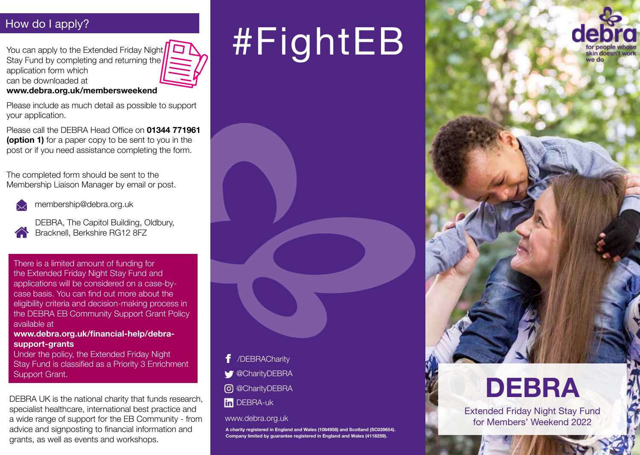# How do I apply?

You can apply to the Extended Friday Night Stay Fund by completing and returning the application form which can be downloaded at

#### **www.debra.org.uk/membersweekend**

Please include as much detail as possible to support your application.

Please call the DEBRA Head Office on **01344 771961 (option 1)** for a paper copy to be sent to you in the post or if you need assistance completing the form.

The completed form should be sent to the Membership Liaison Manager by email or post.



membership@debra.org.uk

DEBRA, The Capitol Building, Oldbury, Bracknell, Berkshire RG12 8FZ

There is a limited amount of funding for the Extended Friday Night Stay Fund and applications will be considered on a case-bycase basis. You can find out more about the eligibility criteria and decision-making process in the DEBRA EB Community Support Grant Policy available at

**www.debra.org.uk/financial-help/debrasupport-grants** 

Under the policy, the Extended Friday Night Stay Fund is classified as a Priority 3 Enrichment Support Grant.

DEBRA UK is the national charity that funds research, specialist healthcare, international best practice and a wide range of support for the EB Community - from advice and signposting to financial information and grants, as well as events and workshops.

# #FightEB



# **DEBRA**

Extended Friday Night Stay Fund for Members' Weekend 2022



fin DEBRA-uk

#### www.debra.org.uk

**A charity registered in England and Wales (1084958) and Scotland (SC039654). Company limited by guarantee registered in England and Wales (4118259).**